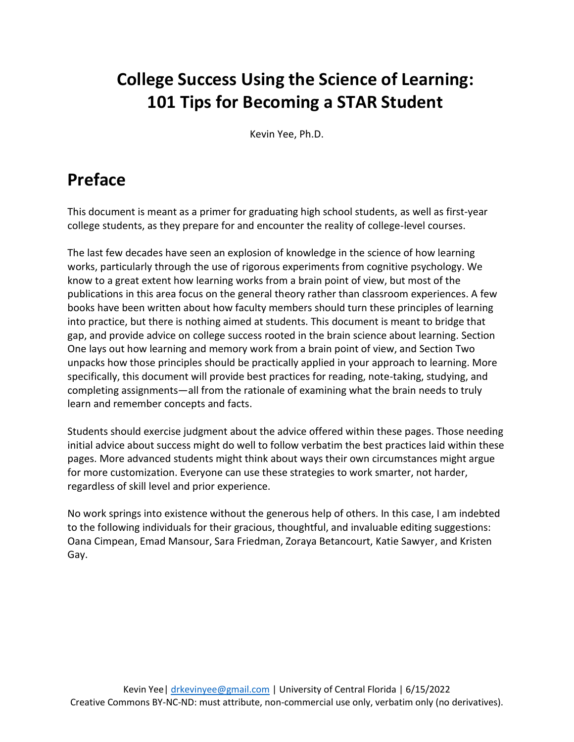# **College Success Using the Science of Learning: 101 Tips for Becoming a STAR Student**

Kevin Yee, Ph.D.

## **Preface**

This document is meant as a primer for graduating high school students, as well as first-year college students, as they prepare for and encounter the reality of college-level courses.

The last few decades have seen an explosion of knowledge in the science of how learning works, particularly through the use of rigorous experiments from cognitive psychology. We know to a great extent how learning works from a brain point of view, but most of the publications in this area focus on the general theory rather than classroom experiences. A few books have been written about how faculty members should turn these principles of learning into practice, but there is nothing aimed at students. This document is meant to bridge that gap, and provide advice on college success rooted in the brain science about learning. Section One lays out how learning and memory work from a brain point of view, and Section Two unpacks how those principles should be practically applied in your approach to learning. More specifically, this document will provide best practices for reading, note-taking, studying, and completing assignments—all from the rationale of examining what the brain needs to truly learn and remember concepts and facts.

Students should exercise judgment about the advice offered within these pages. Those needing initial advice about success might do well to follow verbatim the best practices laid within these pages. More advanced students might think about ways their own circumstances might argue for more customization. Everyone can use these strategies to work smarter, not harder, regardless of skill level and prior experience.

No work springs into existence without the generous help of others. In this case, I am indebted to the following individuals for their gracious, thoughtful, and invaluable editing suggestions: Oana Cimpean, Emad Mansour, Sara Friedman, Zoraya Betancourt, Katie Sawyer, and Kristen Gay.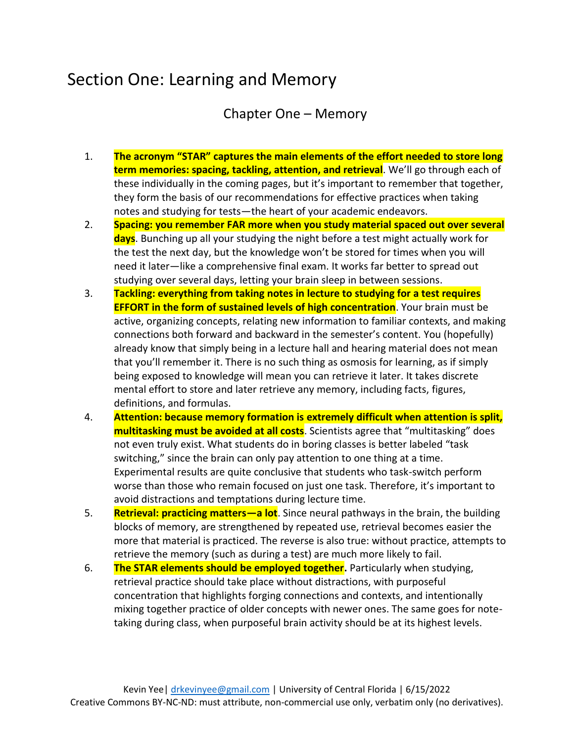### Section One: Learning and Memory

Chapter One – Memory

- 1. **The acronym "STAR" captures the main elements of the effort needed to store long term memories: spacing, tackling, attention, and retrieval**. We'll go through each of these individually in the coming pages, but it's important to remember that together, they form the basis of our recommendations for effective practices when taking notes and studying for tests—the heart of your academic endeavors.
- 2. **Spacing: you remember FAR more when you study material spaced out over several days**. Bunching up all your studying the night before a test might actually work for the test the next day, but the knowledge won't be stored for times when you will need it later—like a comprehensive final exam. It works far better to spread out studying over several days, letting your brain sleep in between sessions.
- 3. **Tackling: everything from taking notes in lecture to studying for a test requires EFFORT in the form of sustained levels of high concentration**. Your brain must be active, organizing concepts, relating new information to familiar contexts, and making connections both forward and backward in the semester's content. You (hopefully) already know that simply being in a lecture hall and hearing material does not mean that you'll remember it. There is no such thing as osmosis for learning, as if simply being exposed to knowledge will mean you can retrieve it later. It takes discrete mental effort to store and later retrieve any memory, including facts, figures, definitions, and formulas.
- 4. **Attention: because memory formation is extremely difficult when attention is split, multitasking must be avoided at all costs**. Scientists agree that "multitasking" does not even truly exist. What students do in boring classes is better labeled "task switching," since the brain can only pay attention to one thing at a time. Experimental results are quite conclusive that students who task-switch perform worse than those who remain focused on just one task. Therefore, it's important to avoid distractions and temptations during lecture time.
- 5. **Retrieval: practicing matters—a lot**. Since neural pathways in the brain, the building blocks of memory, are strengthened by repeated use, retrieval becomes easier the more that material is practiced. The reverse is also true: without practice, attempts to retrieve the memory (such as during a test) are much more likely to fail.
- 6. **The STAR elements should be employed together.** Particularly when studying, retrieval practice should take place without distractions, with purposeful concentration that highlights forging connections and contexts, and intentionally mixing together practice of older concepts with newer ones. The same goes for notetaking during class, when purposeful brain activity should be at its highest levels.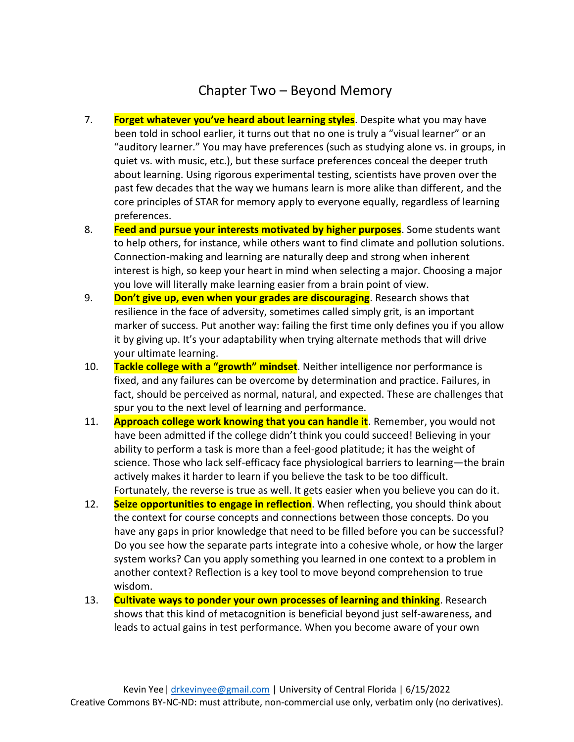### Chapter Two – Beyond Memory

- 7. **Forget whatever you've heard about learning styles**. Despite what you may have been told in school earlier, it turns out that no one is truly a "visual learner" or an "auditory learner." You may have preferences (such as studying alone vs. in groups, in quiet vs. with music, etc.), but these surface preferences conceal the deeper truth about learning. Using rigorous experimental testing, scientists have proven over the past few decades that the way we humans learn is more alike than different, and the core principles of STAR for memory apply to everyone equally, regardless of learning preferences.
- 8. **Feed and pursue your interests motivated by higher purposes**. Some students want to help others, for instance, while others want to find climate and pollution solutions. Connection-making and learning are naturally deep and strong when inherent interest is high, so keep your heart in mind when selecting a major. Choosing a major you love will literally make learning easier from a brain point of view.
- 9. **Don't give up, even when your grades are discouraging**. Research shows that resilience in the face of adversity, sometimes called simply grit, is an important marker of success. Put another way: failing the first time only defines you if you allow it by giving up. It's your adaptability when trying alternate methods that will drive your ultimate learning.
- 10. **Tackle college with a "growth" mindset**. Neither intelligence nor performance is fixed, and any failures can be overcome by determination and practice. Failures, in fact, should be perceived as normal, natural, and expected. These are challenges that spur you to the next level of learning and performance.
- 11. **Approach college work knowing that you can handle it**. Remember, you would not have been admitted if the college didn't think you could succeed! Believing in your ability to perform a task is more than a feel-good platitude; it has the weight of science. Those who lack self-efficacy face physiological barriers to learning—the brain actively makes it harder to learn if you believe the task to be too difficult. Fortunately, the reverse is true as well. It gets easier when you believe you can do it.
- 12. **Seize opportunities to engage in reflection**. When reflecting, you should think about the context for course concepts and connections between those concepts. Do you have any gaps in prior knowledge that need to be filled before you can be successful? Do you see how the separate parts integrate into a cohesive whole, or how the larger system works? Can you apply something you learned in one context to a problem in another context? Reflection is a key tool to move beyond comprehension to true wisdom.
- 13. **Cultivate ways to ponder your own processes of learning and thinking**. Research shows that this kind of metacognition is beneficial beyond just self-awareness, and leads to actual gains in test performance. When you become aware of your own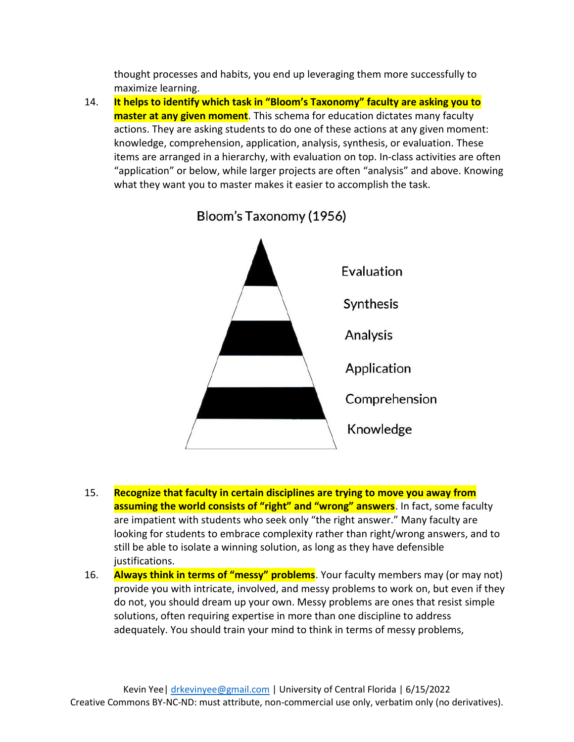thought processes and habits, you end up leveraging them more successfully to maximize learning.

14. **It helps to identify which task in "Bloom's Taxonomy" faculty are asking you to master at any given moment**. This schema for education dictates many faculty actions. They are asking students to do one of these actions at any given moment: knowledge, comprehension, application, analysis, synthesis, or evaluation. These items are arranged in a hierarchy, with evaluation on top. In-class activities are often "application" or below, while larger projects are often "analysis" and above. Knowing what they want you to master makes it easier to accomplish the task.



Bloom's Taxonomy (1956)

- 15. **Recognize that faculty in certain disciplines are trying to move you away from assuming the world consists of "right" and "wrong" answers**. In fact, some faculty are impatient with students who seek only "the right answer." Many faculty are looking for students to embrace complexity rather than right/wrong answers, and to still be able to isolate a winning solution, as long as they have defensible justifications.
- 16. **Always think in terms of "messy" problems**. Your faculty members may (or may not) provide you with intricate, involved, and messy problems to work on, but even if they do not, you should dream up your own. Messy problems are ones that resist simple solutions, often requiring expertise in more than one discipline to address adequately. You should train your mind to think in terms of messy problems,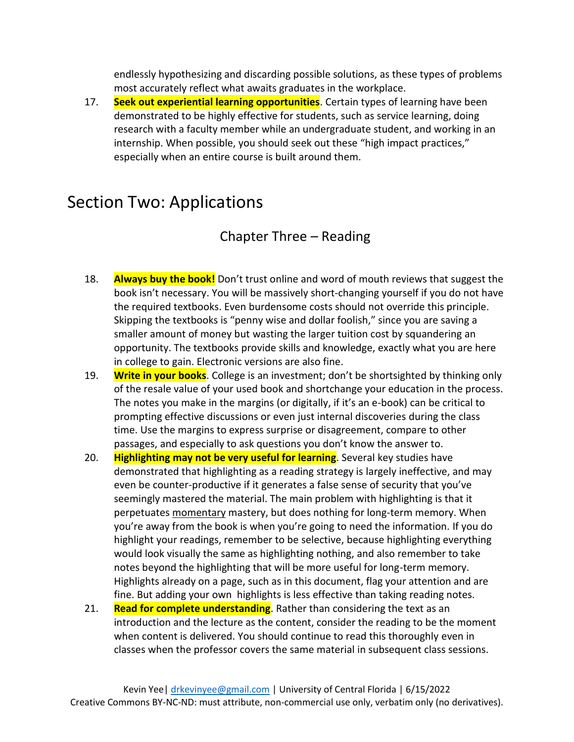endlessly hypothesizing and discarding possible solutions, as these types of problems most accurately reflect what awaits graduates in the workplace.

17. **Seek out experiential learning opportunities**. Certain types of learning have been demonstrated to be highly effective for students, such as service learning, doing research with a faculty member while an undergraduate student, and working in an internship. When possible, you should seek out these "high impact practices," especially when an entire course is built around them.

### Section Two: Applications

### Chapter Three – Reading

- 18. **Always buy the book!** Don't trust online and word of mouth reviews that suggest the book isn't necessary. You will be massively short-changing yourself if you do not have the required textbooks. Even burdensome costs should not override this principle. Skipping the textbooks is "penny wise and dollar foolish," since you are saving a smaller amount of money but wasting the larger tuition cost by squandering an opportunity. The textbooks provide skills and knowledge, exactly what you are here in college to gain. Electronic versions are also fine.
- 19. **Write in your books**. College is an investment; don't be shortsighted by thinking only of the resale value of your used book and shortchange your education in the process. The notes you make in the margins (or digitally, if it's an e-book) can be critical to prompting effective discussions or even just internal discoveries during the class time. Use the margins to express surprise or disagreement, compare to other passages, and especially to ask questions you don't know the answer to.
- 20. **Highlighting may not be very useful for learning**. Several key studies have demonstrated that highlighting as a reading strategy is largely ineffective, and may even be counter-productive if it generates a false sense of security that you've seemingly mastered the material. The main problem with highlighting is that it perpetuates momentary mastery, but does nothing for long-term memory. When you're away from the book is when you're going to need the information. If you do highlight your readings, remember to be selective, because highlighting everything would look visually the same as highlighting nothing, and also remember to take notes beyond the highlighting that will be more useful for long-term memory. Highlights already on a page, such as in this document, flag your attention and are fine. But adding your own highlights is less effective than taking reading notes.
- 21. **Read for complete understanding**. Rather than considering the text as an introduction and the lecture as the content, consider the reading to be the moment when content is delivered. You should continue to read this thoroughly even in classes when the professor covers the same material in subsequent class sessions.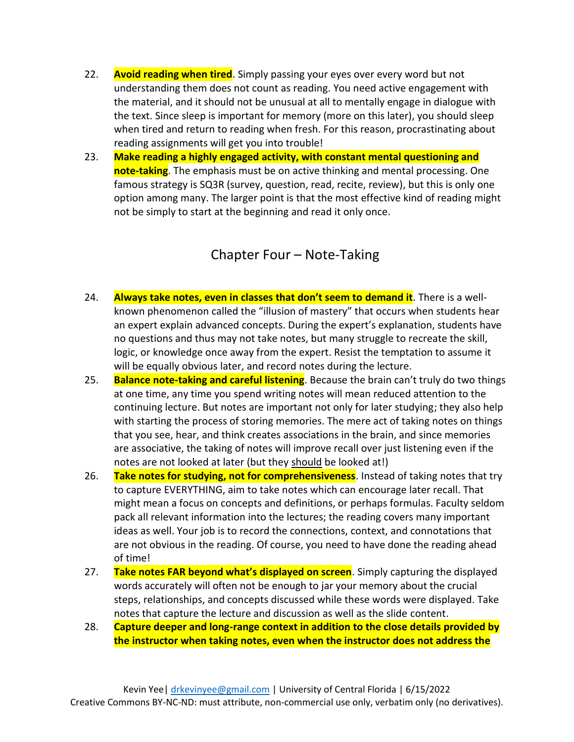- 22. **Avoid reading when tired**. Simply passing your eyes over every word but not understanding them does not count as reading. You need active engagement with the material, and it should not be unusual at all to mentally engage in dialogue with the text. Since sleep is important for memory (more on this later), you should sleep when tired and return to reading when fresh. For this reason, procrastinating about reading assignments will get you into trouble!
- 23. **Make reading a highly engaged activity, with constant mental questioning and note-taking**. The emphasis must be on active thinking and mental processing. One famous strategy is SQ3R (survey, question, read, recite, review), but this is only one option among many. The larger point is that the most effective kind of reading might not be simply to start at the beginning and read it only once.

#### Chapter Four – Note-Taking

- 24. **Always take notes, even in classes that don't seem to demand it**. There is a wellknown phenomenon called the "illusion of mastery" that occurs when students hear an expert explain advanced concepts. During the expert's explanation, students have no questions and thus may not take notes, but many struggle to recreate the skill, logic, or knowledge once away from the expert. Resist the temptation to assume it will be equally obvious later, and record notes during the lecture.
- 25. **Balance note-taking and careful listening**. Because the brain can't truly do two things at one time, any time you spend writing notes will mean reduced attention to the continuing lecture. But notes are important not only for later studying; they also help with starting the process of storing memories. The mere act of taking notes on things that you see, hear, and think creates associations in the brain, and since memories are associative, the taking of notes will improve recall over just listening even if the notes are not looked at later (but they should be looked at!)
- 26. **Take notes for studying, not for comprehensiveness**. Instead of taking notes that try to capture EVERYTHING, aim to take notes which can encourage later recall. That might mean a focus on concepts and definitions, or perhaps formulas. Faculty seldom pack all relevant information into the lectures; the reading covers many important ideas as well. Your job is to record the connections, context, and connotations that are not obvious in the reading. Of course, you need to have done the reading ahead of time!
- 27. **Take notes FAR beyond what's displayed on screen**. Simply capturing the displayed words accurately will often not be enough to jar your memory about the crucial steps, relationships, and concepts discussed while these words were displayed. Take notes that capture the lecture and discussion as well as the slide content.
- 28. **Capture deeper and long-range context in addition to the close details provided by the instructor when taking notes, even when the instructor does not address the**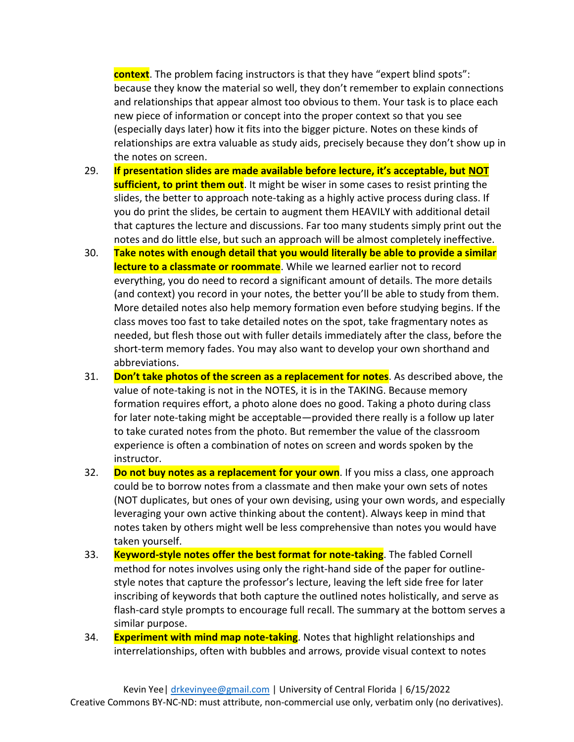**context**. The problem facing instructors is that they have "expert blind spots": because they know the material so well, they don't remember to explain connections and relationships that appear almost too obvious to them. Your task is to place each new piece of information or concept into the proper context so that you see (especially days later) how it fits into the bigger picture. Notes on these kinds of relationships are extra valuable as study aids, precisely because they don't show up in the notes on screen.

- 29. **If presentation slides are made available before lecture, it's acceptable, but NOT sufficient, to print them out**. It might be wiser in some cases to resist printing the slides, the better to approach note-taking as a highly active process during class. If you do print the slides, be certain to augment them HEAVILY with additional detail that captures the lecture and discussions. Far too many students simply print out the notes and do little else, but such an approach will be almost completely ineffective.
- 30. **Take notes with enough detail that you would literally be able to provide a similar lecture to a classmate or roommate**. While we learned earlier not to record everything, you do need to record a significant amount of details. The more details (and context) you record in your notes, the better you'll be able to study from them. More detailed notes also help memory formation even before studying begins. If the class moves too fast to take detailed notes on the spot, take fragmentary notes as needed, but flesh those out with fuller details immediately after the class, before the short-term memory fades. You may also want to develop your own shorthand and abbreviations.
- 31. **Don't take photos of the screen as a replacement for notes**. As described above, the value of note-taking is not in the NOTES, it is in the TAKING. Because memory formation requires effort, a photo alone does no good. Taking a photo during class for later note-taking might be acceptable—provided there really is a follow up later to take curated notes from the photo. But remember the value of the classroom experience is often a combination of notes on screen and words spoken by the instructor.
- 32. **Do not buy notes as a replacement for your own**. If you miss a class, one approach could be to borrow notes from a classmate and then make your own sets of notes (NOT duplicates, but ones of your own devising, using your own words, and especially leveraging your own active thinking about the content). Always keep in mind that notes taken by others might well be less comprehensive than notes you would have taken yourself.
- 33. **Keyword-style notes offer the best format for note-taking**. The fabled Cornell method for notes involves using only the right-hand side of the paper for outlinestyle notes that capture the professor's lecture, leaving the left side free for later inscribing of keywords that both capture the outlined notes holistically, and serve as flash-card style prompts to encourage full recall. The summary at the bottom serves a similar purpose.
- 34. **Experiment with mind map note-taking**. Notes that highlight relationships and interrelationships, often with bubbles and arrows, provide visual context to notes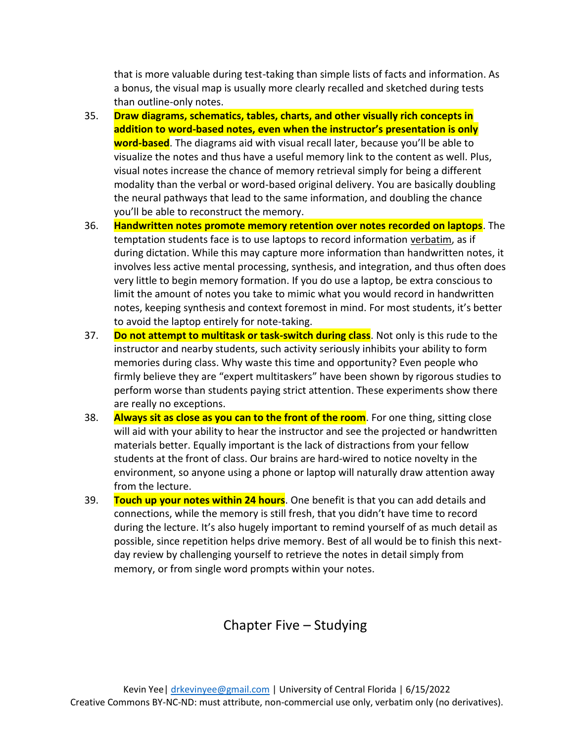that is more valuable during test-taking than simple lists of facts and information. As a bonus, the visual map is usually more clearly recalled and sketched during tests than outline-only notes.

- 35. **Draw diagrams, schematics, tables, charts, and other visually rich concepts in addition to word-based notes, even when the instructor's presentation is only word-based**. The diagrams aid with visual recall later, because you'll be able to visualize the notes and thus have a useful memory link to the content as well. Plus, visual notes increase the chance of memory retrieval simply for being a different modality than the verbal or word-based original delivery. You are basically doubling the neural pathways that lead to the same information, and doubling the chance you'll be able to reconstruct the memory.
- 36. **Handwritten notes promote memory retention over notes recorded on laptops**. The temptation students face is to use laptops to record information verbatim, as if during dictation. While this may capture more information than handwritten notes, it involves less active mental processing, synthesis, and integration, and thus often does very little to begin memory formation. If you do use a laptop, be extra conscious to limit the amount of notes you take to mimic what you would record in handwritten notes, keeping synthesis and context foremost in mind. For most students, it's better to avoid the laptop entirely for note-taking.
- 37. **Do not attempt to multitask or task-switch during class**. Not only is this rude to the instructor and nearby students, such activity seriously inhibits your ability to form memories during class. Why waste this time and opportunity? Even people who firmly believe they are "expert multitaskers" have been shown by rigorous studies to perform worse than students paying strict attention. These experiments show there are really no exceptions.
- 38. **Always sit as close as you can to the front of the room**. For one thing, sitting close will aid with your ability to hear the instructor and see the projected or handwritten materials better. Equally important is the lack of distractions from your fellow students at the front of class. Our brains are hard-wired to notice novelty in the environment, so anyone using a phone or laptop will naturally draw attention away from the lecture.
- 39. **Touch up your notes within 24 hours**. One benefit is that you can add details and connections, while the memory is still fresh, that you didn't have time to record during the lecture. It's also hugely important to remind yourself of as much detail as possible, since repetition helps drive memory. Best of all would be to finish this nextday review by challenging yourself to retrieve the notes in detail simply from memory, or from single word prompts within your notes.

### Chapter Five – Studying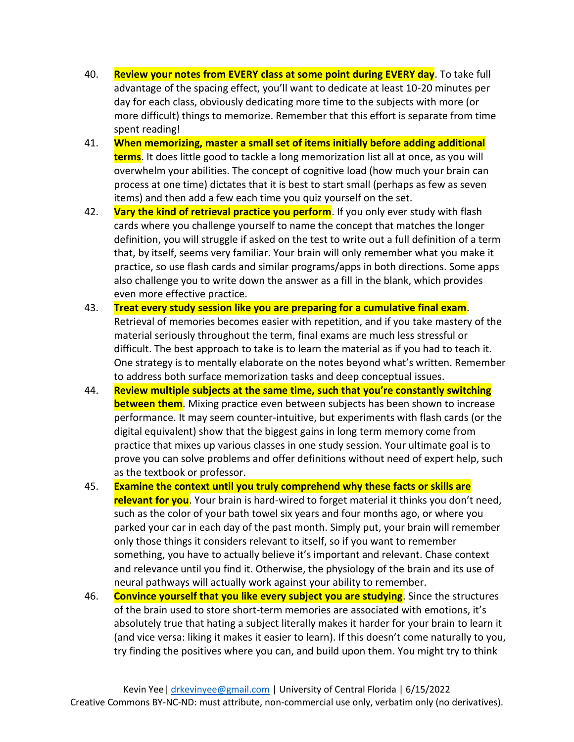- 40. **Review your notes from EVERY class at some point during EVERY day**. To take full advantage of the spacing effect, you'll want to dedicate at least 10-20 minutes per day for each class, obviously dedicating more time to the subjects with more (or more difficult) things to memorize. Remember that this effort is separate from time spent reading!
- 41. **When memorizing, master a small set of items initially before adding additional terms**. It does little good to tackle a long memorization list all at once, as you will overwhelm your abilities. The concept of cognitive load (how much your brain can process at one time) dictates that it is best to start small (perhaps as few as seven items) and then add a few each time you quiz yourself on the set.
- 42. **Vary the kind of retrieval practice you perform**. If you only ever study with flash cards where you challenge yourself to name the concept that matches the longer definition, you will struggle if asked on the test to write out a full definition of a term that, by itself, seems very familiar. Your brain will only remember what you make it practice, so use flash cards and similar programs/apps in both directions. Some apps also challenge you to write down the answer as a fill in the blank, which provides even more effective practice.
- 43. **Treat every study session like you are preparing for a cumulative final exam**. Retrieval of memories becomes easier with repetition, and if you take mastery of the material seriously throughout the term, final exams are much less stressful or difficult. The best approach to take is to learn the material as if you had to teach it. One strategy is to mentally elaborate on the notes beyond what's written. Remember to address both surface memorization tasks and deep conceptual issues.
- 44. **Review multiple subjects at the same time, such that you're constantly switching between them**. Mixing practice even between subjects has been shown to increase performance. It may seem counter-intuitive, but experiments with flash cards (or the digital equivalent) show that the biggest gains in long term memory come from practice that mixes up various classes in one study session. Your ultimate goal is to prove you can solve problems and offer definitions without need of expert help, such as the textbook or professor.
- 45. **Examine the context until you truly comprehend why these facts or skills are relevant for you**. Your brain is hard-wired to forget material it thinks you don't need, such as the color of your bath towel six years and four months ago, or where you parked your car in each day of the past month. Simply put, your brain will remember only those things it considers relevant to itself, so if you want to remember something, you have to actually believe it's important and relevant. Chase context and relevance until you find it. Otherwise, the physiology of the brain and its use of neural pathways will actually work against your ability to remember.
- 46. **Convince yourself that you like every subject you are studying**. Since the structures of the brain used to store short-term memories are associated with emotions, it's absolutely true that hating a subject literally makes it harder for your brain to learn it (and vice versa: liking it makes it easier to learn). If this doesn't come naturally to you, try finding the positives where you can, and build upon them. You might try to think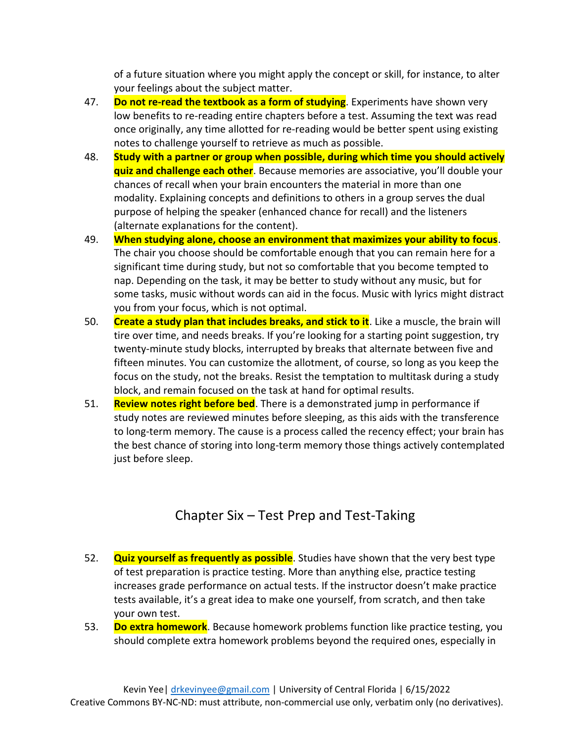of a future situation where you might apply the concept or skill, for instance, to alter your feelings about the subject matter.

- 47. **Do not re-read the textbook as a form of studying**. Experiments have shown very low benefits to re-reading entire chapters before a test. Assuming the text was read once originally, any time allotted for re-reading would be better spent using existing notes to challenge yourself to retrieve as much as possible.
- 48. **Study with a partner or group when possible, during which time you should actively quiz and challenge each other**. Because memories are associative, you'll double your chances of recall when your brain encounters the material in more than one modality. Explaining concepts and definitions to others in a group serves the dual purpose of helping the speaker (enhanced chance for recall) and the listeners (alternate explanations for the content).
- 49. **When studying alone, choose an environment that maximizes your ability to focus**. The chair you choose should be comfortable enough that you can remain here for a significant time during study, but not so comfortable that you become tempted to nap. Depending on the task, it may be better to study without any music, but for some tasks, music without words can aid in the focus. Music with lyrics might distract you from your focus, which is not optimal.
- 50. **Create a study plan that includes breaks, and stick to it**. Like a muscle, the brain will tire over time, and needs breaks. If you're looking for a starting point suggestion, try twenty-minute study blocks, interrupted by breaks that alternate between five and fifteen minutes. You can customize the allotment, of course, so long as you keep the focus on the study, not the breaks. Resist the temptation to multitask during a study block, and remain focused on the task at hand for optimal results.
- 51. **Review notes right before bed**. There is a demonstrated jump in performance if study notes are reviewed minutes before sleeping, as this aids with the transference to long-term memory. The cause is a process called the recency effect; your brain has the best chance of storing into long-term memory those things actively contemplated just before sleep.

### Chapter Six – Test Prep and Test-Taking

- 52. **Quiz yourself as frequently as possible**. Studies have shown that the very best type of test preparation is practice testing. More than anything else, practice testing increases grade performance on actual tests. If the instructor doesn't make practice tests available, it's a great idea to make one yourself, from scratch, and then take your own test.
- 53. **Do extra homework**. Because homework problems function like practice testing, you should complete extra homework problems beyond the required ones, especially in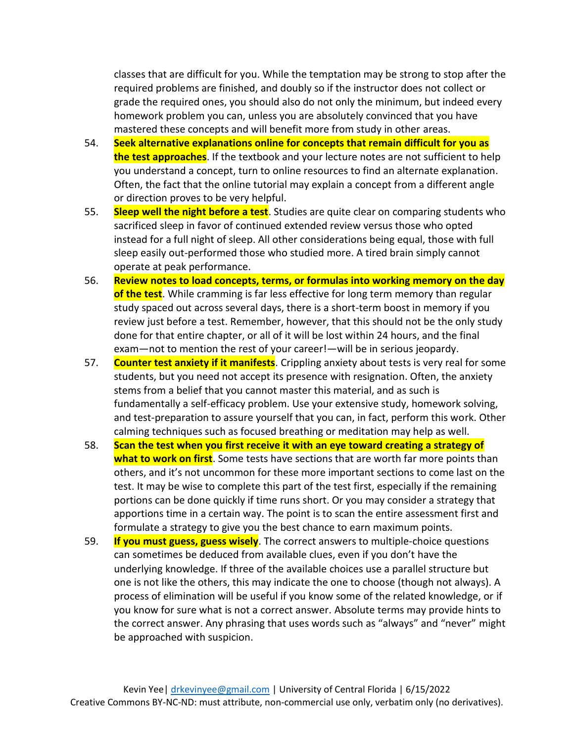classes that are difficult for you. While the temptation may be strong to stop after the required problems are finished, and doubly so if the instructor does not collect or grade the required ones, you should also do not only the minimum, but indeed every homework problem you can, unless you are absolutely convinced that you have mastered these concepts and will benefit more from study in other areas.

- 54. **Seek alternative explanations online for concepts that remain difficult for you as the test approaches**. If the textbook and your lecture notes are not sufficient to help you understand a concept, turn to online resources to find an alternate explanation. Often, the fact that the online tutorial may explain a concept from a different angle or direction proves to be very helpful.
- 55. **Sleep well the night before a test**. Studies are quite clear on comparing students who sacrificed sleep in favor of continued extended review versus those who opted instead for a full night of sleep. All other considerations being equal, those with full sleep easily out-performed those who studied more. A tired brain simply cannot operate at peak performance.
- 56. **Review notes to load concepts, terms, or formulas into working memory on the day of the test**. While cramming is far less effective for long term memory than regular study spaced out across several days, there is a short-term boost in memory if you review just before a test. Remember, however, that this should not be the only study done for that entire chapter, or all of it will be lost within 24 hours, and the final exam—not to mention the rest of your career!—will be in serious jeopardy.
- 57. **Counter test anxiety if it manifests**. Crippling anxiety about tests is very real for some students, but you need not accept its presence with resignation. Often, the anxiety stems from a belief that you cannot master this material, and as such is fundamentally a self-efficacy problem. Use your extensive study, homework solving, and test-preparation to assure yourself that you can, in fact, perform this work. Other calming techniques such as focused breathing or meditation may help as well.
- 58. **Scan the test when you first receive it with an eye toward creating a strategy of what to work on first**. Some tests have sections that are worth far more points than others, and it's not uncommon for these more important sections to come last on the test. It may be wise to complete this part of the test first, especially if the remaining portions can be done quickly if time runs short. Or you may consider a strategy that apportions time in a certain way. The point is to scan the entire assessment first and formulate a strategy to give you the best chance to earn maximum points.
- 59. **If you must guess, guess wisely**. The correct answers to multiple-choice questions can sometimes be deduced from available clues, even if you don't have the underlying knowledge. If three of the available choices use a parallel structure but one is not like the others, this may indicate the one to choose (though not always). A process of elimination will be useful if you know some of the related knowledge, or if you know for sure what is not a correct answer. Absolute terms may provide hints to the correct answer. Any phrasing that uses words such as "always" and "never" might be approached with suspicion.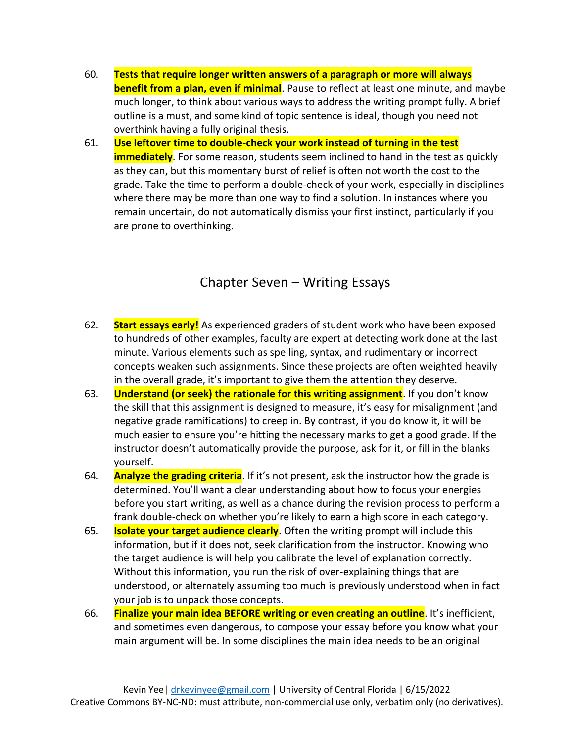- 60. **Tests that require longer written answers of a paragraph or more will always benefit from a plan, even if minimal**. Pause to reflect at least one minute, and maybe much longer, to think about various ways to address the writing prompt fully. A brief outline is a must, and some kind of topic sentence is ideal, though you need not overthink having a fully original thesis.
- 61. **Use leftover time to double-check your work instead of turning in the test immediately**. For some reason, students seem inclined to hand in the test as quickly as they can, but this momentary burst of relief is often not worth the cost to the grade. Take the time to perform a double-check of your work, especially in disciplines where there may be more than one way to find a solution. In instances where you remain uncertain, do not automatically dismiss your first instinct, particularly if you are prone to overthinking.

#### Chapter Seven – Writing Essays

- 62. **Start essays early!** As experienced graders of student work who have been exposed to hundreds of other examples, faculty are expert at detecting work done at the last minute. Various elements such as spelling, syntax, and rudimentary or incorrect concepts weaken such assignments. Since these projects are often weighted heavily in the overall grade, it's important to give them the attention they deserve.
- 63. **Understand (or seek) the rationale for this writing assignment**. If you don't know the skill that this assignment is designed to measure, it's easy for misalignment (and negative grade ramifications) to creep in. By contrast, if you do know it, it will be much easier to ensure you're hitting the necessary marks to get a good grade. If the instructor doesn't automatically provide the purpose, ask for it, or fill in the blanks yourself.
- 64. **Analyze the grading criteria**. If it's not present, ask the instructor how the grade is determined. You'll want a clear understanding about how to focus your energies before you start writing, as well as a chance during the revision process to perform a frank double-check on whether you're likely to earn a high score in each category.
- 65. **Isolate your target audience clearly**. Often the writing prompt will include this information, but if it does not, seek clarification from the instructor. Knowing who the target audience is will help you calibrate the level of explanation correctly. Without this information, you run the risk of over-explaining things that are understood, or alternately assuming too much is previously understood when in fact your job is to unpack those concepts.
- 66. **Finalize your main idea BEFORE writing or even creating an outline**. It's inefficient, and sometimes even dangerous, to compose your essay before you know what your main argument will be. In some disciplines the main idea needs to be an original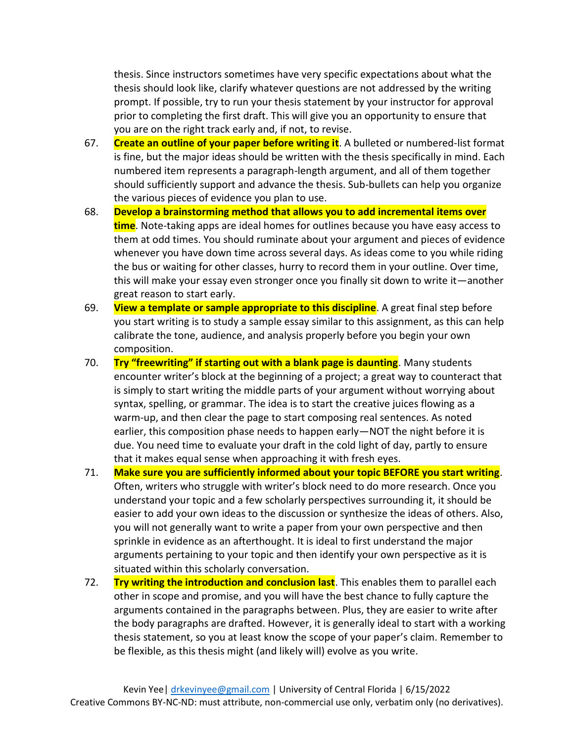thesis. Since instructors sometimes have very specific expectations about what the thesis should look like, clarify whatever questions are not addressed by the writing prompt. If possible, try to run your thesis statement by your instructor for approval prior to completing the first draft. This will give you an opportunity to ensure that you are on the right track early and, if not, to revise.

- 67. **Create an outline of your paper before writing it**. A bulleted or numbered-list format is fine, but the major ideas should be written with the thesis specifically in mind. Each numbered item represents a paragraph-length argument, and all of them together should sufficiently support and advance the thesis. Sub-bullets can help you organize the various pieces of evidence you plan to use.
- 68. **Develop a brainstorming method that allows you to add incremental items over time**. Note-taking apps are ideal homes for outlines because you have easy access to them at odd times. You should ruminate about your argument and pieces of evidence whenever you have down time across several days. As ideas come to you while riding the bus or waiting for other classes, hurry to record them in your outline. Over time, this will make your essay even stronger once you finally sit down to write it—another great reason to start early.
- 69. **View a template or sample appropriate to this discipline**. A great final step before you start writing is to study a sample essay similar to this assignment, as this can help calibrate the tone, audience, and analysis properly before you begin your own composition.
- 70. **Try "freewriting" if starting out with a blank page is daunting**. Many students encounter writer's block at the beginning of a project; a great way to counteract that is simply to start writing the middle parts of your argument without worrying about syntax, spelling, or grammar. The idea is to start the creative juices flowing as a warm-up, and then clear the page to start composing real sentences. As noted earlier, this composition phase needs to happen early—NOT the night before it is due. You need time to evaluate your draft in the cold light of day, partly to ensure that it makes equal sense when approaching it with fresh eyes.
- 71. **Make sure you are sufficiently informed about your topic BEFORE you start writing**. Often, writers who struggle with writer's block need to do more research. Once you understand your topic and a few scholarly perspectives surrounding it, it should be easier to add your own ideas to the discussion or synthesize the ideas of others. Also, you will not generally want to write a paper from your own perspective and then sprinkle in evidence as an afterthought. It is ideal to first understand the major arguments pertaining to your topic and then identify your own perspective as it is situated within this scholarly conversation.
- 72. **Try writing the introduction and conclusion last**. This enables them to parallel each other in scope and promise, and you will have the best chance to fully capture the arguments contained in the paragraphs between. Plus, they are easier to write after the body paragraphs are drafted. However, it is generally ideal to start with a working thesis statement, so you at least know the scope of your paper's claim. Remember to be flexible, as this thesis might (and likely will) evolve as you write.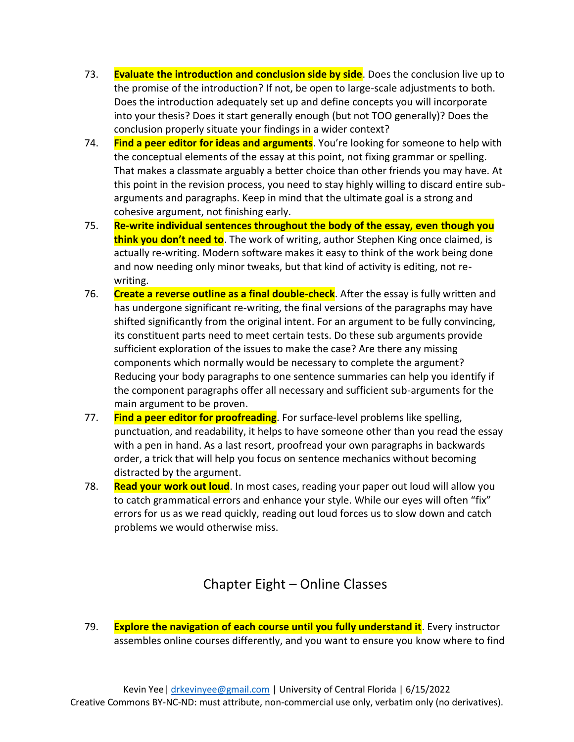- 73. **Evaluate the introduction and conclusion side by side**. Does the conclusion live up to the promise of the introduction? If not, be open to large-scale adjustments to both. Does the introduction adequately set up and define concepts you will incorporate into your thesis? Does it start generally enough (but not TOO generally)? Does the conclusion properly situate your findings in a wider context?
- 74. **Find a peer editor for ideas and arguments**. You're looking for someone to help with the conceptual elements of the essay at this point, not fixing grammar or spelling. That makes a classmate arguably a better choice than other friends you may have. At this point in the revision process, you need to stay highly willing to discard entire subarguments and paragraphs. Keep in mind that the ultimate goal is a strong and cohesive argument, not finishing early.
- 75. **Re-write individual sentences throughout the body of the essay, even though you think you don't need to**. The work of writing, author Stephen King once claimed, is actually re-writing. Modern software makes it easy to think of the work being done and now needing only minor tweaks, but that kind of activity is editing, not rewriting.
- 76. **Create a reverse outline as a final double-check**. After the essay is fully written and has undergone significant re-writing, the final versions of the paragraphs may have shifted significantly from the original intent. For an argument to be fully convincing, its constituent parts need to meet certain tests. Do these sub arguments provide sufficient exploration of the issues to make the case? Are there any missing components which normally would be necessary to complete the argument? Reducing your body paragraphs to one sentence summaries can help you identify if the component paragraphs offer all necessary and sufficient sub-arguments for the main argument to be proven.
- 77. **Find a peer editor for proofreading**. For surface-level problems like spelling, punctuation, and readability, it helps to have someone other than you read the essay with a pen in hand. As a last resort, proofread your own paragraphs in backwards order, a trick that will help you focus on sentence mechanics without becoming distracted by the argument.
- 78. **Read your work out loud**. In most cases, reading your paper out loud will allow you to catch grammatical errors and enhance your style. While our eyes will often "fix" errors for us as we read quickly, reading out loud forces us to slow down and catch problems we would otherwise miss.

### Chapter Eight – Online Classes

79. **Explore the navigation of each course until you fully understand it**. Every instructor assembles online courses differently, and you want to ensure you know where to find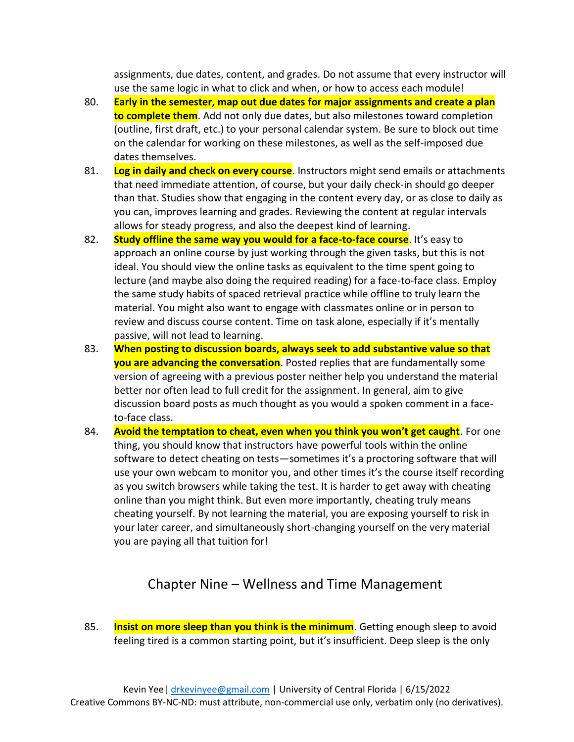assignments, due dates, content, and grades. Do not assume that every instructor will use the same logic in what to click and when, or how to access each module!

- 80. **Early in the semester, map out due dates for major assignments and create a plan to complete them**. Add not only due dates, but also milestones toward completion (outline, first draft, etc.) to your personal calendar system. Be sure to block out time on the calendar for working on these milestones, as well as the self-imposed due dates themselves.
- 81. **Log in daily and check on every course**. Instructors might send emails or attachments that need immediate attention, of course, but your daily check-in should go deeper than that. Studies show that engaging in the content every day, or as close to daily as you can, improves learning and grades. Reviewing the content at regular intervals allows for steady progress, and also the deepest kind of learning.
- 82. **Study offline the same way you would for a face-to-face course**. It's easy to approach an online course by just working through the given tasks, but this is not ideal. You should view the online tasks as equivalent to the time spent going to lecture (and maybe also doing the required reading) for a face-to-face class. Employ the same study habits of spaced retrieval practice while offline to truly learn the material. You might also want to engage with classmates online or in person to review and discuss course content. Time on task alone, especially if it's mentally passive, will not lead to learning.
- 83. **When posting to discussion boards, always seek to add substantive value so that you are advancing the conversation**. Posted replies that are fundamentally some version of agreeing with a previous poster neither help you understand the material better nor often lead to full credit for the assignment. In general, aim to give discussion board posts as much thought as you would a spoken comment in a faceto-face class.
- 84. **Avoid the temptation to cheat, even when you think you won't get caught**. For one thing, you should know that instructors have powerful tools within the online software to detect cheating on tests—sometimes it's a proctoring software that will use your own webcam to monitor you, and other times it's the course itself recording as you switch browsers while taking the test. It is harder to get away with cheating online than you might think. But even more importantly, cheating truly means cheating yourself. By not learning the material, you are exposing yourself to risk in your later career, and simultaneously short-changing yourself on the very material you are paying all that tuition for!

### Chapter Nine – Wellness and Time Management

85. **Insist on more sleep than you think is the minimum**. Getting enough sleep to avoid feeling tired is a common starting point, but it's insufficient. Deep sleep is the only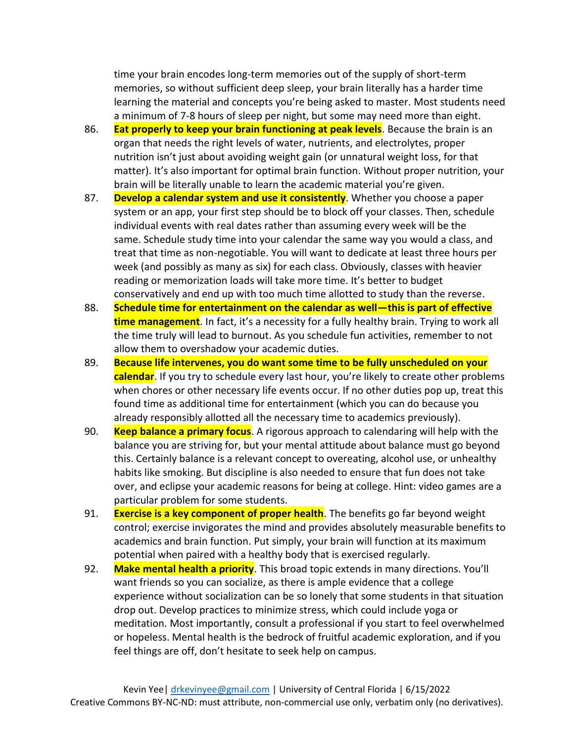time your brain encodes long-term memories out of the supply of short-term memories, so without sufficient deep sleep, your brain literally has a harder time learning the material and concepts you're being asked to master. Most students need a minimum of 7-8 hours of sleep per night, but some may need more than eight.

- 86. **Eat properly to keep your brain functioning at peak levels**. Because the brain is an organ that needs the right levels of water, nutrients, and electrolytes, proper nutrition isn't just about avoiding weight gain (or unnatural weight loss, for that matter). It's also important for optimal brain function. Without proper nutrition, your brain will be literally unable to learn the academic material you're given.
- 87. **Develop a calendar system and use it consistently**. Whether you choose a paper system or an app, your first step should be to block off your classes. Then, schedule individual events with real dates rather than assuming every week will be the same. Schedule study time into your calendar the same way you would a class, and treat that time as non-negotiable. You will want to dedicate at least three hours per week (and possibly as many as six) for each class. Obviously, classes with heavier reading or memorization loads will take more time. It's better to budget conservatively and end up with too much time allotted to study than the reverse.
- 88. **Schedule time for entertainment on the calendar as well—this is part of effective time management**. In fact, it's a necessity for a fully healthy brain. Trying to work all the time truly will lead to burnout. As you schedule fun activities, remember to not allow them to overshadow your academic duties.
- 89. **Because life intervenes, you do want some time to be fully unscheduled on your calendar**. If you try to schedule every last hour, you're likely to create other problems when chores or other necessary life events occur. If no other duties pop up, treat this found time as additional time for entertainment (which you can do because you already responsibly allotted all the necessary time to academics previously).
- 90. **Keep balance a primary focus**. A rigorous approach to calendaring will help with the balance you are striving for, but your mental attitude about balance must go beyond this. Certainly balance is a relevant concept to overeating, alcohol use, or unhealthy habits like smoking. But discipline is also needed to ensure that fun does not take over, and eclipse your academic reasons for being at college. Hint: video games are a particular problem for some students.
- 91. **Exercise is a key component of proper health**. The benefits go far beyond weight control; exercise invigorates the mind and provides absolutely measurable benefits to academics and brain function. Put simply, your brain will function at its maximum potential when paired with a healthy body that is exercised regularly.
- 92. **Make mental health a priority**. This broad topic extends in many directions. You'll want friends so you can socialize, as there is ample evidence that a college experience without socialization can be so lonely that some students in that situation drop out. Develop practices to minimize stress, which could include yoga or meditation. Most importantly, consult a professional if you start to feel overwhelmed or hopeless. Mental health is the bedrock of fruitful academic exploration, and if you feel things are off, don't hesitate to seek help on campus.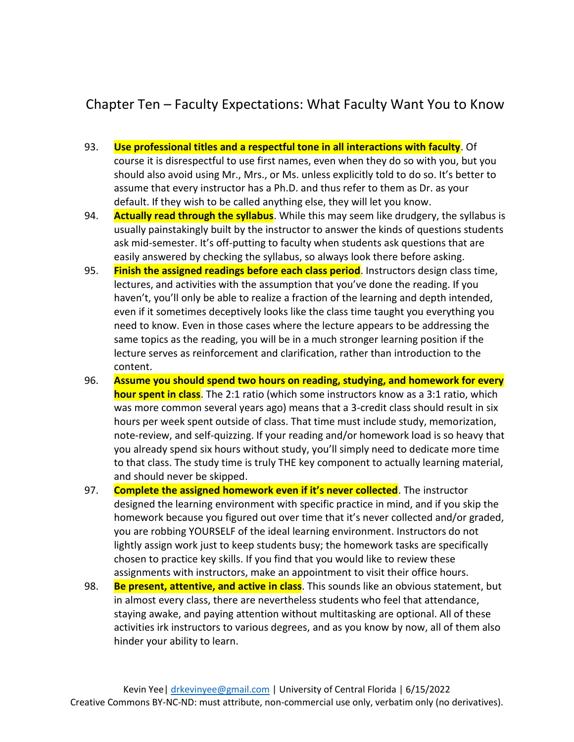### Chapter Ten – Faculty Expectations: What Faculty Want You to Know

- 93. **Use professional titles and a respectful tone in all interactions with faculty**. Of course it is disrespectful to use first names, even when they do so with you, but you should also avoid using Mr., Mrs., or Ms. unless explicitly told to do so. It's better to assume that every instructor has a Ph.D. and thus refer to them as Dr. as your default. If they wish to be called anything else, they will let you know.
- 94. **Actually read through the syllabus**. While this may seem like drudgery, the syllabus is usually painstakingly built by the instructor to answer the kinds of questions students ask mid-semester. It's off-putting to faculty when students ask questions that are easily answered by checking the syllabus, so always look there before asking.
- 95. **Finish the assigned readings before each class period**. Instructors design class time, lectures, and activities with the assumption that you've done the reading. If you haven't, you'll only be able to realize a fraction of the learning and depth intended, even if it sometimes deceptively looks like the class time taught you everything you need to know. Even in those cases where the lecture appears to be addressing the same topics as the reading, you will be in a much stronger learning position if the lecture serves as reinforcement and clarification, rather than introduction to the content.
- 96. **Assume you should spend two hours on reading, studying, and homework for every hour spent in class**. The 2:1 ratio (which some instructors know as a 3:1 ratio, which was more common several years ago) means that a 3-credit class should result in six hours per week spent outside of class. That time must include study, memorization, note-review, and self-quizzing. If your reading and/or homework load is so heavy that you already spend six hours without study, you'll simply need to dedicate more time to that class. The study time is truly THE key component to actually learning material, and should never be skipped.
- 97. **Complete the assigned homework even if it's never collected**. The instructor designed the learning environment with specific practice in mind, and if you skip the homework because you figured out over time that it's never collected and/or graded, you are robbing YOURSELF of the ideal learning environment. Instructors do not lightly assign work just to keep students busy; the homework tasks are specifically chosen to practice key skills. If you find that you would like to review these assignments with instructors, make an appointment to visit their office hours.
- 98. **Be present, attentive, and active in class**. This sounds like an obvious statement, but in almost every class, there are nevertheless students who feel that attendance, staying awake, and paying attention without multitasking are optional. All of these activities irk instructors to various degrees, and as you know by now, all of them also hinder your ability to learn.